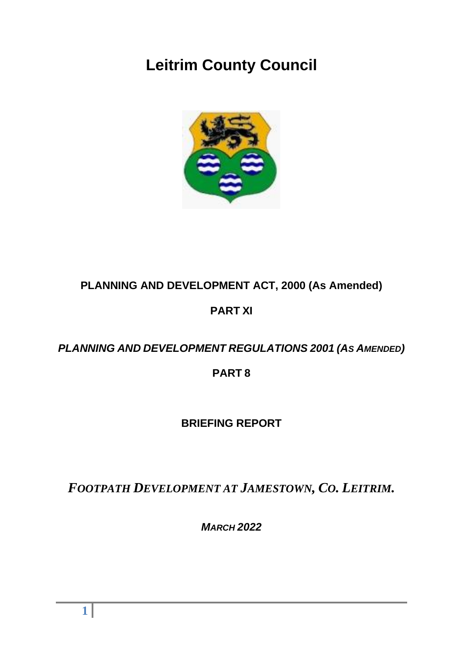# **Leitrim County Council**



## **PLANNING AND DEVELOPMENT ACT, 2000 (As Amended)**

### **PART XI**

## *PLANNING AND DEVELOPMENT REGULATIONS 2001 (AS AMENDED)*

### **PART 8**

### **BRIEFING REPORT**

*FOOTPATH DEVELOPMENT AT JAMESTOWN, CO. LEITRIM.*

*MARCH 2022*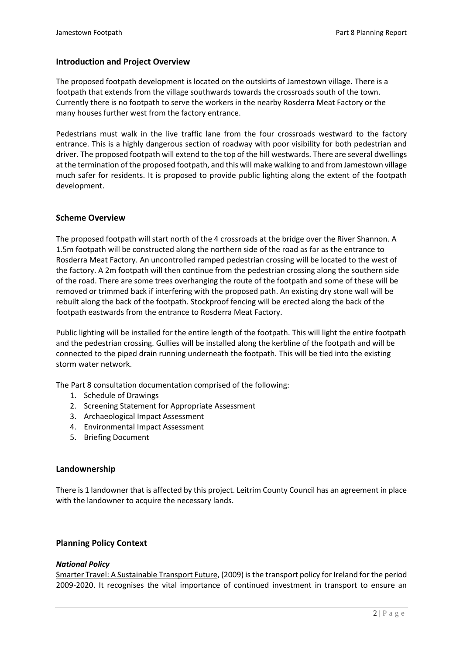#### **Introduction and Project Overview**

The proposed footpath development is located on the outskirts of Jamestown village. There is a footpath that extends from the village southwards towards the crossroads south of the town. Currently there is no footpath to serve the workers in the nearby Rosderra Meat Factory or the many houses further west from the factory entrance.

Pedestrians must walk in the live traffic lane from the four crossroads westward to the factory entrance. This is a highly dangerous section of roadway with poor visibility for both pedestrian and driver. The proposed footpath will extend to the top of the hill westwards. There are several dwellings at the termination of the proposed footpath, and this will make walking to and from Jamestown village much safer for residents. It is proposed to provide public lighting along the extent of the footpath development.

#### **Scheme Overview**

The proposed footpath will start north of the 4 crossroads at the bridge over the River Shannon. A 1.5m footpath will be constructed along the northern side of the road as far as the entrance to Rosderra Meat Factory. An uncontrolled ramped pedestrian crossing will be located to the west of the factory. A 2m footpath will then continue from the pedestrian crossing along the southern side of the road. There are some trees overhanging the route of the footpath and some of these will be removed or trimmed back if interfering with the proposed path. An existing dry stone wall will be rebuilt along the back of the footpath. Stockproof fencing will be erected along the back of the footpath eastwards from the entrance to Rosderra Meat Factory.

Public lighting will be installed for the entire length of the footpath. This will light the entire footpath and the pedestrian crossing. Gullies will be installed along the kerbline of the footpath and will be connected to the piped drain running underneath the footpath. This will be tied into the existing storm water network.

The Part 8 consultation documentation comprised of the following:

- 1. Schedule of Drawings
- 2. Screening Statement for Appropriate Assessment
- 3. Archaeological Impact Assessment
- 4. Environmental Impact Assessment
- 5. Briefing Document

#### **Landownership**

There is 1 landowner that is affected by this project. Leitrim County Council has an agreement in place with the landowner to acquire the necessary lands.

#### **Planning Policy Context**

#### *National Policy*

Smarter Travel: A Sustainable Transport Future, (2009) is the transport policy for Ireland for the period 2009-2020. It recognises the vital importance of continued investment in transport to ensure an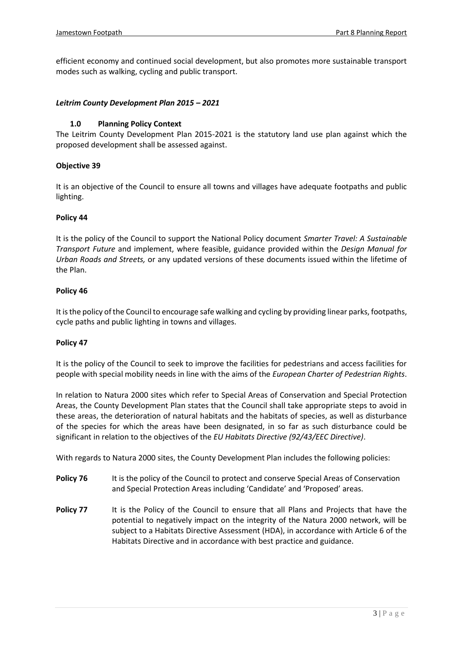efficient economy and continued social development, but also promotes more sustainable transport modes such as walking, cycling and public transport.

#### *Leitrim County Development Plan 2015 – 2021*

#### **1.0 Planning Policy Context**

The Leitrim County Development Plan 2015-2021 is the statutory land use plan against which the proposed development shall be assessed against.

#### **Objective 39**

It is an objective of the Council to ensure all towns and villages have adequate footpaths and public lighting.

#### **Policy 44**

It is the policy of the Council to support the National Policy document *Smarter Travel: A Sustainable Transport Future* and implement, where feasible, guidance provided within the *Design Manual for Urban Roads and Streets,* or any updated versions of these documents issued within the lifetime of the Plan.

#### **Policy 46**

It is the policy of the Council to encourage safe walking and cycling by providing linear parks, footpaths, cycle paths and public lighting in towns and villages.

#### **Policy 47**

It is the policy of the Council to seek to improve the facilities for pedestrians and access facilities for people with special mobility needs in line with the aims of the *European Charter of Pedestrian Rights*.

In relation to Natura 2000 sites which refer to Special Areas of Conservation and Special Protection Areas, the County Development Plan states that the Council shall take appropriate steps to avoid in these areas, the deterioration of natural habitats and the habitats of species, as well as disturbance of the species for which the areas have been designated, in so far as such disturbance could be significant in relation to the objectives of the *EU Habitats Directive (92/43/EEC Directive)*.

With regards to Natura 2000 sites, the County Development Plan includes the following policies:

- **Policy 76** It is the policy of the Council to protect and conserve Special Areas of Conservation and Special Protection Areas including 'Candidate' and 'Proposed' areas.
- **Policy 77** It is the Policy of the Council to ensure that all Plans and Projects that have the potential to negatively impact on the integrity of the Natura 2000 network, will be subject to a Habitats Directive Assessment (HDA), in accordance with Article 6 of the Habitats Directive and in accordance with best practice and guidance.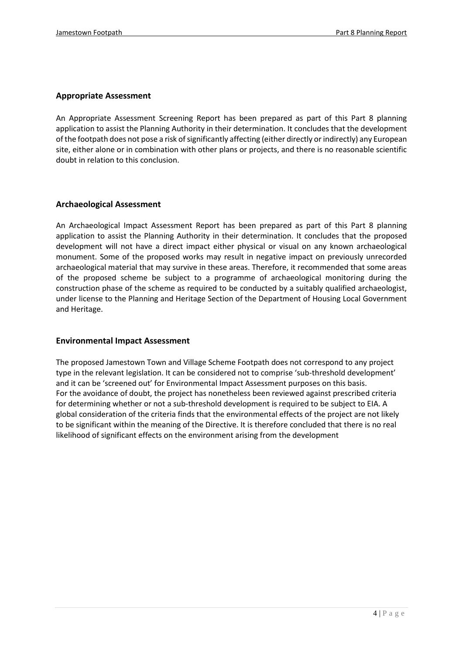#### **Appropriate Assessment**

An Appropriate Assessment Screening Report has been prepared as part of this Part 8 planning application to assist the Planning Authority in their determination. It concludes that the development of the footpath does not pose a risk of significantly affecting (either directly or indirectly) any European site, either alone or in combination with other plans or projects, and there is no reasonable scientific doubt in relation to this conclusion.

#### **Archaeological Assessment**

An Archaeological Impact Assessment Report has been prepared as part of this Part 8 planning application to assist the Planning Authority in their determination. It concludes that the proposed development will not have a direct impact either physical or visual on any known archaeological monument. Some of the proposed works may result in negative impact on previously unrecorded archaeological material that may survive in these areas. Therefore, it recommended that some areas of the proposed scheme be subject to a programme of archaeological monitoring during the construction phase of the scheme as required to be conducted by a suitably qualified archaeologist, under license to the Planning and Heritage Section of the Department of Housing Local Government and Heritage.

#### **Environmental Impact Assessment**

The proposed Jamestown Town and Village Scheme Footpath does not correspond to any project type in the relevant legislation. It can be considered not to comprise 'sub-threshold development' and it can be 'screened out' for Environmental Impact Assessment purposes on this basis. For the avoidance of doubt, the project has nonetheless been reviewed against prescribed criteria for determining whether or not a sub-threshold development is required to be subject to EIA. A global consideration of the criteria finds that the environmental effects of the project are not likely to be significant within the meaning of the Directive. It is therefore concluded that there is no real likelihood of significant effects on the environment arising from the development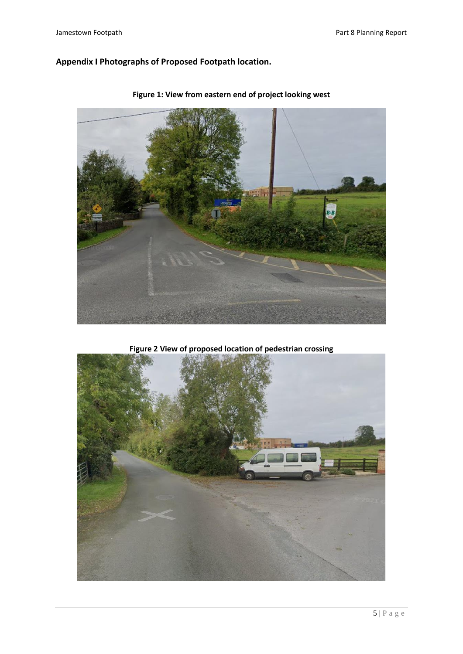### **Appendix I Photographs of Proposed Footpath location.**



**Figure 1: View from eastern end of project looking west**

**Figure 2 View of proposed location of pedestrian crossing**